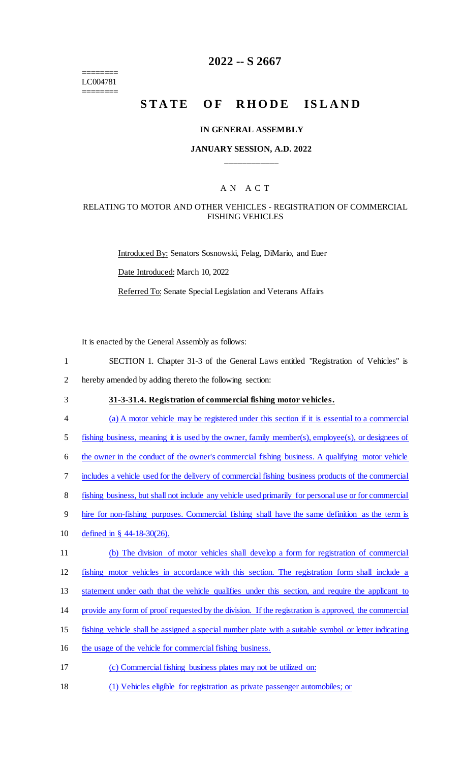======== LC004781 ========

# **2022 -- S 2667**

# STATE OF RHODE ISLAND

#### **IN GENERAL ASSEMBLY**

### **JANUARY SESSION, A.D. 2022 \_\_\_\_\_\_\_\_\_\_\_\_**

# A N A C T

### RELATING TO MOTOR AND OTHER VEHICLES - REGISTRATION OF COMMERCIAL FISHING VEHICLES

Introduced By: Senators Sosnowski, Felag, DiMario, and Euer Date Introduced: March 10, 2022 Referred To: Senate Special Legislation and Veterans Affairs

It is enacted by the General Assembly as follows:

- 1 SECTION 1. Chapter 31-3 of the General Laws entitled "Registration of Vehicles" is
- 2 hereby amended by adding thereto the following section:
- 3 **31-3-31.4. Registration of commercial fishing motor vehicles.**
- 4 (a) A motor vehicle may be registered under this section if it is essential to a commercial
- 5 fishing business, meaning it is used by the owner, family member(s), employee(s), or designees of
- 6 the owner in the conduct of the owner's commercial fishing business. A qualifying motor vehicle
- 7 includes a vehicle used for the delivery of commercial fishing business products of the commercial
- 8 fishing business, but shall not include any vehicle used primarily for personal use or for commercial
- 9 hire for non-fishing purposes. Commercial fishing shall have the same definition as the term is
- 10 defined in § 44-18-30(26).
- 11 (b) The division of motor vehicles shall develop a form for registration of commercial
- 12 fishing motor vehicles in accordance with this section. The registration form shall include a
- 13 statement under oath that the vehicle qualifies under this section, and require the applicant to
- 14 provide any form of proof requested by the division. If the registration is approved, the commercial
- 15 fishing vehicle shall be assigned a special number plate with a suitable symbol or letter indicating
- 16 the usage of the vehicle for commercial fishing business.
- 17 (c) Commercial fishing business plates may not be utilized on:
- 18 (1) Vehicles eligible for registration as private passenger automobiles; or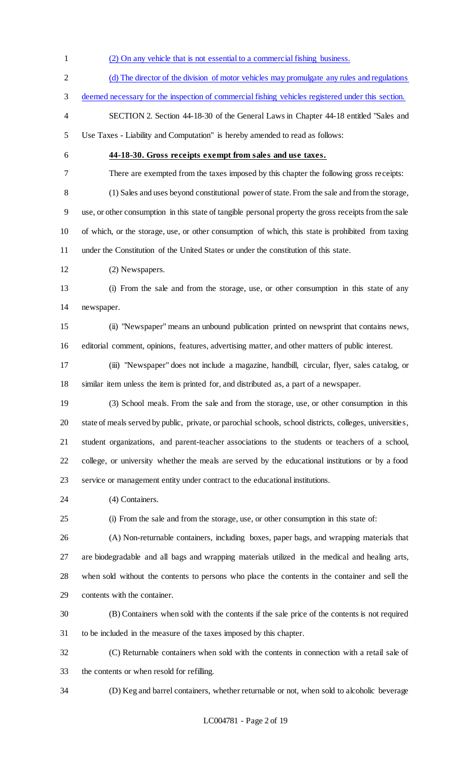- (2) On any vehicle that is not essential to a commercial fishing business. (d) The director of the division of motor vehicles may promulgate any rules and regulations deemed necessary for the inspection of commercial fishing vehicles registered under this section. SECTION 2. Section 44-18-30 of the General Laws in Chapter 44-18 entitled "Sales and Use Taxes - Liability and Computation" is hereby amended to read as follows: **44-18-30. Gross receipts exempt from sales and use taxes.** There are exempted from the taxes imposed by this chapter the following gross receipts: (1) Sales and uses beyond constitutional power of state. From the sale and from the storage, use, or other consumption in this state of tangible personal property the gross receipts from the sale of which, or the storage, use, or other consumption of which, this state is prohibited from taxing under the Constitution of the United States or under the constitution of this state. (2) Newspapers. (i) From the sale and from the storage, use, or other consumption in this state of any newspaper. (ii) "Newspaper" means an unbound publication printed on newsprint that contains news, editorial comment, opinions, features, advertising matter, and other matters of public interest. (iii) "Newspaper" does not include a magazine, handbill, circular, flyer, sales catalog, or similar item unless the item is printed for, and distributed as, a part of a newspaper. (3) School meals. From the sale and from the storage, use, or other consumption in this state of meals served by public, private, or parochial schools, school districts, colleges, universities, student organizations, and parent-teacher associations to the students or teachers of a school, college, or university whether the meals are served by the educational institutions or by a food service or management entity under contract to the educational institutions. 24 (4) Containers. (i) From the sale and from the storage, use, or other consumption in this state of: (A) Non-returnable containers, including boxes, paper bags, and wrapping materials that are biodegradable and all bags and wrapping materials utilized in the medical and healing arts, when sold without the contents to persons who place the contents in the container and sell the contents with the container. (B) Containers when sold with the contents if the sale price of the contents is not required to be included in the measure of the taxes imposed by this chapter. (C) Returnable containers when sold with the contents in connection with a retail sale of the contents or when resold for refilling.
- 

(D) Keg and barrel containers, whether returnable or not, when sold to alcoholic beverage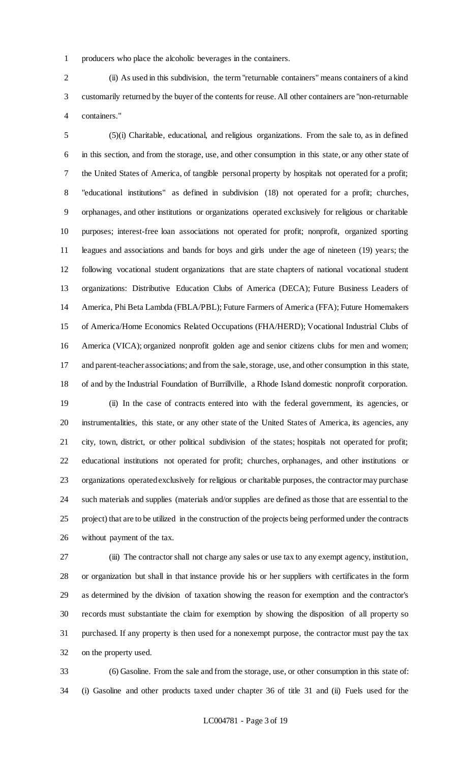producers who place the alcoholic beverages in the containers.

 (ii) As used in this subdivision, the term "returnable containers" means containers of a kind customarily returned by the buyer of the contents for reuse. All other containers are "non-returnable containers."

 (5)(i) Charitable, educational, and religious organizations. From the sale to, as in defined in this section, and from the storage, use, and other consumption in this state, or any other state of the United States of America, of tangible personal property by hospitals not operated for a profit; "educational institutions" as defined in subdivision (18) not operated for a profit; churches, orphanages, and other institutions or organizations operated exclusively for religious or charitable purposes; interest-free loan associations not operated for profit; nonprofit, organized sporting leagues and associations and bands for boys and girls under the age of nineteen (19) years; the following vocational student organizations that are state chapters of national vocational student organizations: Distributive Education Clubs of America (DECA); Future Business Leaders of America, Phi Beta Lambda (FBLA/PBL); Future Farmers of America (FFA); Future Homemakers of America/Home Economics Related Occupations (FHA/HERD); Vocational Industrial Clubs of America (VICA); organized nonprofit golden age and senior citizens clubs for men and women; and parent-teacher associations; and from the sale, storage, use, and other consumption in this state, of and by the Industrial Foundation of Burrillville, a Rhode Island domestic nonprofit corporation. (ii) In the case of contracts entered into with the federal government, its agencies, or

 instrumentalities, this state, or any other state of the United States of America, its agencies, any city, town, district, or other political subdivision of the states; hospitals not operated for profit; educational institutions not operated for profit; churches, orphanages, and other institutions or organizations operated exclusively for religious or charitable purposes, the contractor may purchase such materials and supplies (materials and/or supplies are defined as those that are essential to the project) that are to be utilized in the construction of the projects being performed under the contracts without payment of the tax.

 (iii) The contractor shall not charge any sales or use tax to any exempt agency, institution, or organization but shall in that instance provide his or her suppliers with certificates in the form as determined by the division of taxation showing the reason for exemption and the contractor's records must substantiate the claim for exemption by showing the disposition of all property so purchased. If any property is then used for a nonexempt purpose, the contractor must pay the tax on the property used.

 (6) Gasoline. From the sale and from the storage, use, or other consumption in this state of: (i) Gasoline and other products taxed under chapter 36 of title 31 and (ii) Fuels used for the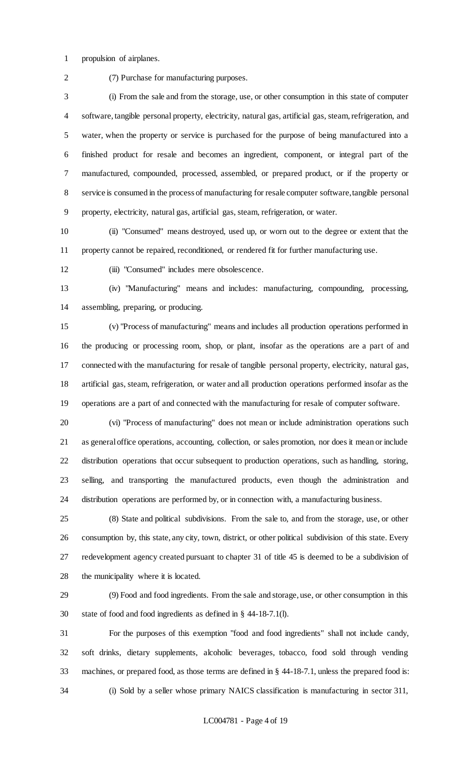propulsion of airplanes.

(7) Purchase for manufacturing purposes.

 (i) From the sale and from the storage, use, or other consumption in this state of computer software, tangible personal property, electricity, natural gas, artificial gas, steam, refrigeration, and water, when the property or service is purchased for the purpose of being manufactured into a finished product for resale and becomes an ingredient, component, or integral part of the manufactured, compounded, processed, assembled, or prepared product, or if the property or service is consumed in the process of manufacturing for resale computer software, tangible personal property, electricity, natural gas, artificial gas, steam, refrigeration, or water.

 (ii) "Consumed" means destroyed, used up, or worn out to the degree or extent that the property cannot be repaired, reconditioned, or rendered fit for further manufacturing use.

(iii) "Consumed" includes mere obsolescence.

 (iv) "Manufacturing" means and includes: manufacturing, compounding, processing, assembling, preparing, or producing.

 (v) "Process of manufacturing" means and includes all production operations performed in the producing or processing room, shop, or plant, insofar as the operations are a part of and connected with the manufacturing for resale of tangible personal property, electricity, natural gas, artificial gas, steam, refrigeration, or water and all production operations performed insofar as the operations are a part of and connected with the manufacturing for resale of computer software.

 (vi) "Process of manufacturing" does not mean or include administration operations such as general office operations, accounting, collection, or sales promotion, nor does it mean or include distribution operations that occur subsequent to production operations, such as handling, storing, selling, and transporting the manufactured products, even though the administration and distribution operations are performed by, or in connection with, a manufacturing business.

 (8) State and political subdivisions. From the sale to, and from the storage, use, or other consumption by, this state, any city, town, district, or other political subdivision of this state. Every redevelopment agency created pursuant to chapter 31 of title 45 is deemed to be a subdivision of the municipality where it is located.

 (9) Food and food ingredients. From the sale and storage, use, or other consumption in this state of food and food ingredients as defined in § 44-18-7.1(l).

 For the purposes of this exemption "food and food ingredients" shall not include candy, soft drinks, dietary supplements, alcoholic beverages, tobacco, food sold through vending machines, or prepared food, as those terms are defined in § 44-18-7.1, unless the prepared food is: (i) Sold by a seller whose primary NAICS classification is manufacturing in sector 311,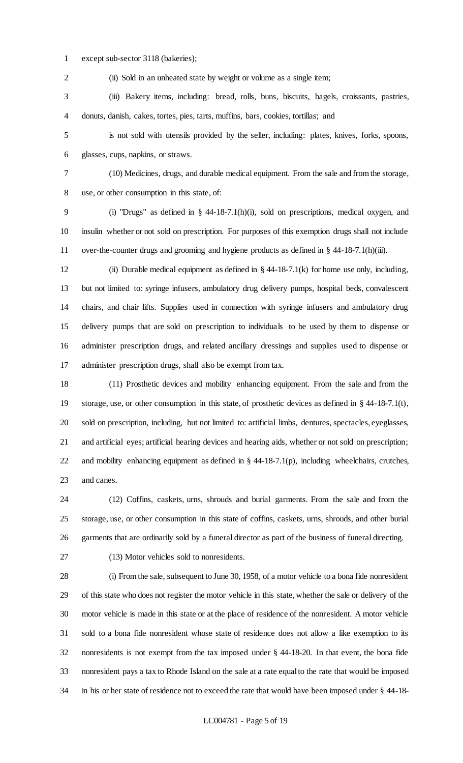except sub-sector 3118 (bakeries);

2 (ii) Sold in an unheated state by weight or volume as a single item;

 (iii) Bakery items, including: bread, rolls, buns, biscuits, bagels, croissants, pastries, donuts, danish, cakes, tortes, pies, tarts, muffins, bars, cookies, tortillas; and

 is not sold with utensils provided by the seller, including: plates, knives, forks, spoons, glasses, cups, napkins, or straws.

 (10) Medicines, drugs, and durable medical equipment. From the sale and from the storage, use, or other consumption in this state, of:

 (i) "Drugs" as defined in § 44-18-7.1(h)(i), sold on prescriptions, medical oxygen, and insulin whether or not sold on prescription. For purposes of this exemption drugs shall not include 11 over-the-counter drugs and grooming and hygiene products as defined in § 44-18-7.1(h)(iii).

 (ii) Durable medical equipment as defined in § 44-18-7.1(k) for home use only, including, but not limited to: syringe infusers, ambulatory drug delivery pumps, hospital beds, convalescent chairs, and chair lifts. Supplies used in connection with syringe infusers and ambulatory drug delivery pumps that are sold on prescription to individuals to be used by them to dispense or administer prescription drugs, and related ancillary dressings and supplies used to dispense or administer prescription drugs, shall also be exempt from tax.

 (11) Prosthetic devices and mobility enhancing equipment. From the sale and from the storage, use, or other consumption in this state, of prosthetic devices as defined in § 44-18-7.1(t), sold on prescription, including, but not limited to: artificial limbs, dentures, spectacles, eyeglasses, and artificial eyes; artificial hearing devices and hearing aids, whether or not sold on prescription; and mobility enhancing equipment as defined in § 44-18-7.1(p), including wheelchairs, crutches, and canes.

 (12) Coffins, caskets, urns, shrouds and burial garments. From the sale and from the storage, use, or other consumption in this state of coffins, caskets, urns, shrouds, and other burial garments that are ordinarily sold by a funeral director as part of the business of funeral directing.

(13) Motor vehicles sold to nonresidents.

 (i) From the sale, subsequent to June 30, 1958, of a motor vehicle to a bona fide nonresident of this state who does not register the motor vehicle in this state, whether the sale or delivery of the motor vehicle is made in this state or at the place of residence of the nonresident. A motor vehicle sold to a bona fide nonresident whose state of residence does not allow a like exemption to its nonresidents is not exempt from the tax imposed under § 44-18-20. In that event, the bona fide nonresident pays a tax to Rhode Island on the sale at a rate equal to the rate that would be imposed in his or her state of residence not to exceed the rate that would have been imposed under § 44-18-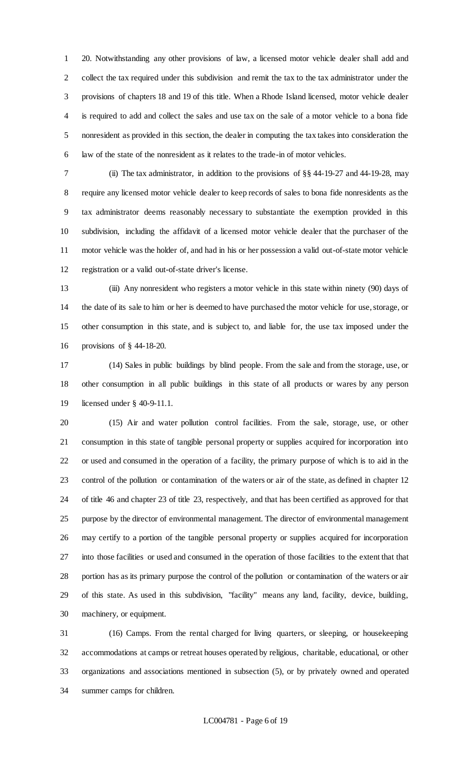20. Notwithstanding any other provisions of law, a licensed motor vehicle dealer shall add and collect the tax required under this subdivision and remit the tax to the tax administrator under the provisions of chapters 18 and 19 of this title. When a Rhode Island licensed, motor vehicle dealer is required to add and collect the sales and use tax on the sale of a motor vehicle to a bona fide nonresident as provided in this section, the dealer in computing the tax takes into consideration the law of the state of the nonresident as it relates to the trade-in of motor vehicles.

 (ii) The tax administrator, in addition to the provisions of §§ 44-19-27 and 44-19-28, may require any licensed motor vehicle dealer to keep records of sales to bona fide nonresidents as the tax administrator deems reasonably necessary to substantiate the exemption provided in this subdivision, including the affidavit of a licensed motor vehicle dealer that the purchaser of the motor vehicle was the holder of, and had in his or her possession a valid out-of-state motor vehicle registration or a valid out-of-state driver's license.

 (iii) Any nonresident who registers a motor vehicle in this state within ninety (90) days of the date of its sale to him or her is deemed to have purchased the motor vehicle for use, storage, or other consumption in this state, and is subject to, and liable for, the use tax imposed under the provisions of § 44-18-20.

 (14) Sales in public buildings by blind people. From the sale and from the storage, use, or other consumption in all public buildings in this state of all products or wares by any person licensed under § 40-9-11.1.

 (15) Air and water pollution control facilities. From the sale, storage, use, or other consumption in this state of tangible personal property or supplies acquired for incorporation into or used and consumed in the operation of a facility, the primary purpose of which is to aid in the control of the pollution or contamination of the waters or air of the state, as defined in chapter 12 of title 46 and chapter 23 of title 23, respectively, and that has been certified as approved for that purpose by the director of environmental management. The director of environmental management may certify to a portion of the tangible personal property or supplies acquired for incorporation into those facilities or used and consumed in the operation of those facilities to the extent that that portion has as its primary purpose the control of the pollution or contamination of the waters or air of this state. As used in this subdivision, "facility" means any land, facility, device, building, machinery, or equipment.

 (16) Camps. From the rental charged for living quarters, or sleeping, or housekeeping accommodations at camps or retreat houses operated by religious, charitable, educational, or other organizations and associations mentioned in subsection (5), or by privately owned and operated summer camps for children.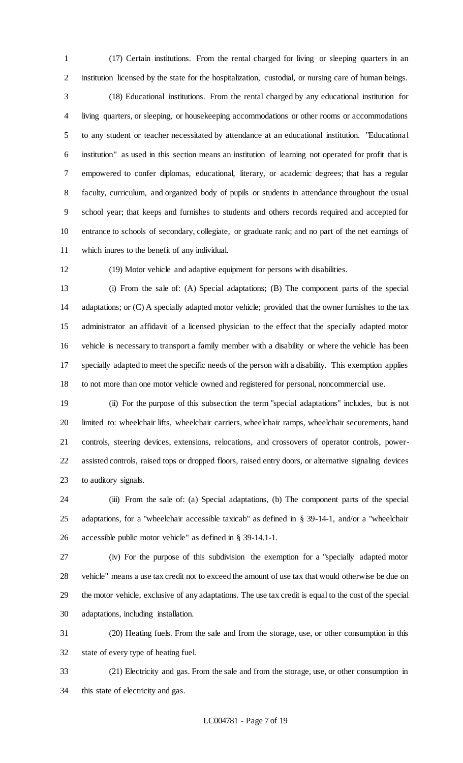(17) Certain institutions. From the rental charged for living or sleeping quarters in an institution licensed by the state for the hospitalization, custodial, or nursing care of human beings.

 (18) Educational institutions. From the rental charged by any educational institution for living quarters, or sleeping, or housekeeping accommodations or other rooms or accommodations to any student or teacher necessitated by attendance at an educational institution. "Educational institution" as used in this section means an institution of learning not operated for profit that is empowered to confer diplomas, educational, literary, or academic degrees; that has a regular faculty, curriculum, and organized body of pupils or students in attendance throughout the usual school year; that keeps and furnishes to students and others records required and accepted for entrance to schools of secondary, collegiate, or graduate rank; and no part of the net earnings of which inures to the benefit of any individual.

(19) Motor vehicle and adaptive equipment for persons with disabilities.

 (i) From the sale of: (A) Special adaptations; (B) The component parts of the special 14 adaptations; or (C) A specially adapted motor vehicle; provided that the owner furnishes to the tax administrator an affidavit of a licensed physician to the effect that the specially adapted motor vehicle is necessary to transport a family member with a disability or where the vehicle has been specially adapted to meet the specific needs of the person with a disability. This exemption applies to not more than one motor vehicle owned and registered for personal, noncommercial use.

 (ii) For the purpose of this subsection the term "special adaptations" includes, but is not limited to: wheelchair lifts, wheelchair carriers, wheelchair ramps, wheelchair securements, hand controls, steering devices, extensions, relocations, and crossovers of operator controls, power- assisted controls, raised tops or dropped floors, raised entry doors, or alternative signaling devices to auditory signals.

 (iii) From the sale of: (a) Special adaptations, (b) The component parts of the special adaptations, for a "wheelchair accessible taxicab" as defined in § 39-14-1, and/or a "wheelchair accessible public motor vehicle" as defined in § 39-14.1-1.

 (iv) For the purpose of this subdivision the exemption for a "specially adapted motor vehicle" means a use tax credit not to exceed the amount of use tax that would otherwise be due on the motor vehicle, exclusive of any adaptations. The use tax credit is equal to the cost of the special adaptations, including installation.

 (20) Heating fuels. From the sale and from the storage, use, or other consumption in this state of every type of heating fuel.

 (21) Electricity and gas. From the sale and from the storage, use, or other consumption in this state of electricity and gas.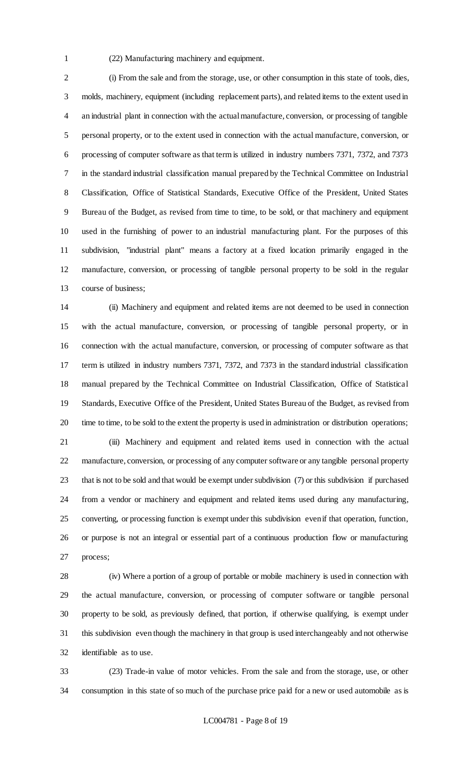(22) Manufacturing machinery and equipment.

 (i) From the sale and from the storage, use, or other consumption in this state of tools, dies, molds, machinery, equipment (including replacement parts), and related items to the extent used in an industrial plant in connection with the actual manufacture, conversion, or processing of tangible personal property, or to the extent used in connection with the actual manufacture, conversion, or processing of computer software as that term is utilized in industry numbers 7371, 7372, and 7373 in the standard industrial classification manual prepared by the Technical Committee on Industrial Classification, Office of Statistical Standards, Executive Office of the President, United States Bureau of the Budget, as revised from time to time, to be sold, or that machinery and equipment used in the furnishing of power to an industrial manufacturing plant. For the purposes of this subdivision, "industrial plant" means a factory at a fixed location primarily engaged in the manufacture, conversion, or processing of tangible personal property to be sold in the regular course of business;

 (ii) Machinery and equipment and related items are not deemed to be used in connection with the actual manufacture, conversion, or processing of tangible personal property, or in connection with the actual manufacture, conversion, or processing of computer software as that term is utilized in industry numbers 7371, 7372, and 7373 in the standard industrial classification manual prepared by the Technical Committee on Industrial Classification, Office of Statistical Standards, Executive Office of the President, United States Bureau of the Budget, as revised from time to time, to be sold to the extent the property is used in administration or distribution operations; (iii) Machinery and equipment and related items used in connection with the actual manufacture, conversion, or processing of any computer software or any tangible personal property that is not to be sold and that would be exempt under subdivision (7) or this subdivision if purchased from a vendor or machinery and equipment and related items used during any manufacturing, converting, or processing function is exempt under this subdivision even if that operation, function, or purpose is not an integral or essential part of a continuous production flow or manufacturing process;

 (iv) Where a portion of a group of portable or mobile machinery is used in connection with the actual manufacture, conversion, or processing of computer software or tangible personal property to be sold, as previously defined, that portion, if otherwise qualifying, is exempt under this subdivision even though the machinery in that group is used interchangeably and not otherwise identifiable as to use.

 (23) Trade-in value of motor vehicles. From the sale and from the storage, use, or other consumption in this state of so much of the purchase price paid for a new or used automobile as is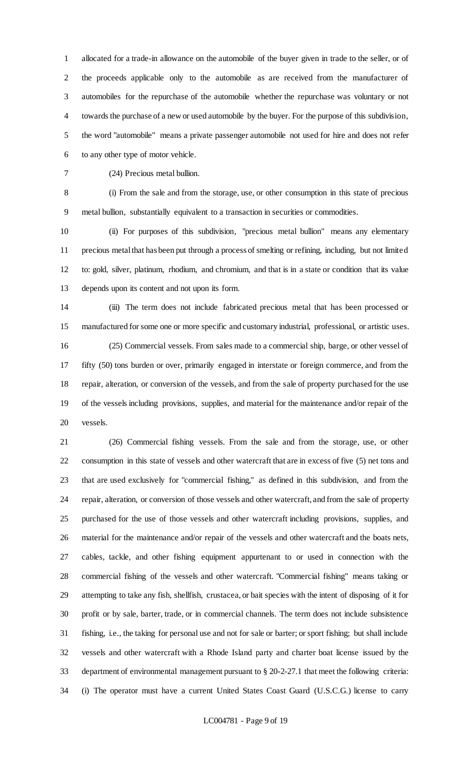allocated for a trade-in allowance on the automobile of the buyer given in trade to the seller, or of the proceeds applicable only to the automobile as are received from the manufacturer of automobiles for the repurchase of the automobile whether the repurchase was voluntary or not towards the purchase of a new or used automobile by the buyer. For the purpose of this subdivision, the word "automobile" means a private passenger automobile not used for hire and does not refer to any other type of motor vehicle.

(24) Precious metal bullion.

 (i) From the sale and from the storage, use, or other consumption in this state of precious metal bullion, substantially equivalent to a transaction in securities or commodities.

 (ii) For purposes of this subdivision, "precious metal bullion" means any elementary precious metal that has been put through a process of smelting or refining, including, but not limited to: gold, silver, platinum, rhodium, and chromium, and that is in a state or condition that its value depends upon its content and not upon its form.

 (iii) The term does not include fabricated precious metal that has been processed or manufactured for some one or more specific and customary industrial, professional, or artistic uses. (25) Commercial vessels. From sales made to a commercial ship, barge, or other vessel of fifty (50) tons burden or over, primarily engaged in interstate or foreign commerce, and from the repair, alteration, or conversion of the vessels, and from the sale of property purchased for the use of the vessels including provisions, supplies, and material for the maintenance and/or repair of the vessels.

 (26) Commercial fishing vessels. From the sale and from the storage, use, or other consumption in this state of vessels and other watercraft that are in excess of five (5) net tons and that are used exclusively for "commercial fishing," as defined in this subdivision, and from the repair, alteration, or conversion of those vessels and other watercraft, and from the sale of property purchased for the use of those vessels and other watercraft including provisions, supplies, and material for the maintenance and/or repair of the vessels and other watercraft and the boats nets, cables, tackle, and other fishing equipment appurtenant to or used in connection with the commercial fishing of the vessels and other watercraft. "Commercial fishing" means taking or attempting to take any fish, shellfish, crustacea, or bait species with the intent of disposing of it for profit or by sale, barter, trade, or in commercial channels. The term does not include subsistence fishing, i.e., the taking for personal use and not for sale or barter; or sport fishing; but shall include vessels and other watercraft with a Rhode Island party and charter boat license issued by the department of environmental management pursuant to § 20-2-27.1 that meet the following criteria: (i) The operator must have a current United States Coast Guard (U.S.C.G.) license to carry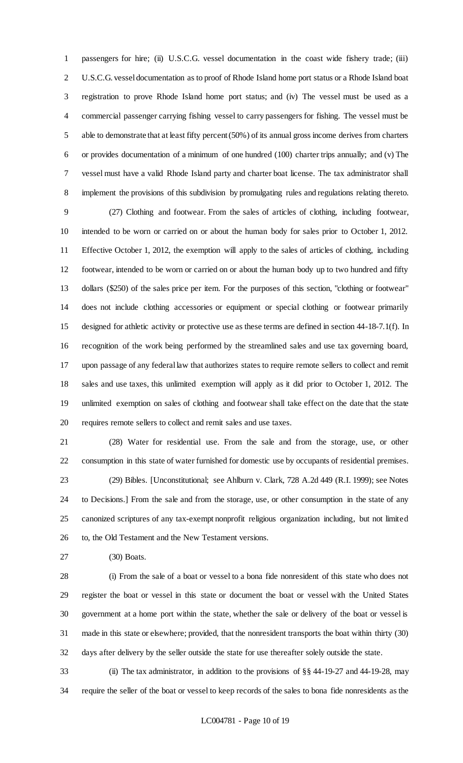passengers for hire; (ii) U.S.C.G. vessel documentation in the coast wide fishery trade; (iii) U.S.C.G. vessel documentation as to proof of Rhode Island home port status or a Rhode Island boat registration to prove Rhode Island home port status; and (iv) The vessel must be used as a commercial passenger carrying fishing vessel to carry passengers for fishing. The vessel must be able to demonstrate that at least fifty percent (50%) of its annual gross income derives from charters or provides documentation of a minimum of one hundred (100) charter trips annually; and (v) The vessel must have a valid Rhode Island party and charter boat license. The tax administrator shall implement the provisions of this subdivision by promulgating rules and regulations relating thereto.

 (27) Clothing and footwear. From the sales of articles of clothing, including footwear, intended to be worn or carried on or about the human body for sales prior to October 1, 2012. Effective October 1, 2012, the exemption will apply to the sales of articles of clothing, including footwear, intended to be worn or carried on or about the human body up to two hundred and fifty dollars (\$250) of the sales price per item. For the purposes of this section, "clothing or footwear" does not include clothing accessories or equipment or special clothing or footwear primarily designed for athletic activity or protective use as these terms are defined in section 44-18-7.1(f). In recognition of the work being performed by the streamlined sales and use tax governing board, upon passage of any federal law that authorizes states to require remote sellers to collect and remit sales and use taxes, this unlimited exemption will apply as it did prior to October 1, 2012. The unlimited exemption on sales of clothing and footwear shall take effect on the date that the state requires remote sellers to collect and remit sales and use taxes.

 (28) Water for residential use. From the sale and from the storage, use, or other consumption in this state of water furnished for domestic use by occupants of residential premises. (29) Bibles. [Unconstitutional; see Ahlburn v. Clark, 728 A.2d 449 (R.I. 1999); see Notes to Decisions.] From the sale and from the storage, use, or other consumption in the state of any canonized scriptures of any tax-exempt nonprofit religious organization including, but not limited to, the Old Testament and the New Testament versions.

(30) Boats.

 (i) From the sale of a boat or vessel to a bona fide nonresident of this state who does not register the boat or vessel in this state or document the boat or vessel with the United States government at a home port within the state, whether the sale or delivery of the boat or vessel is made in this state or elsewhere; provided, that the nonresident transports the boat within thirty (30) days after delivery by the seller outside the state for use thereafter solely outside the state.

 (ii) The tax administrator, in addition to the provisions of §§ 44-19-27 and 44-19-28, may require the seller of the boat or vessel to keep records of the sales to bona fide nonresidents as the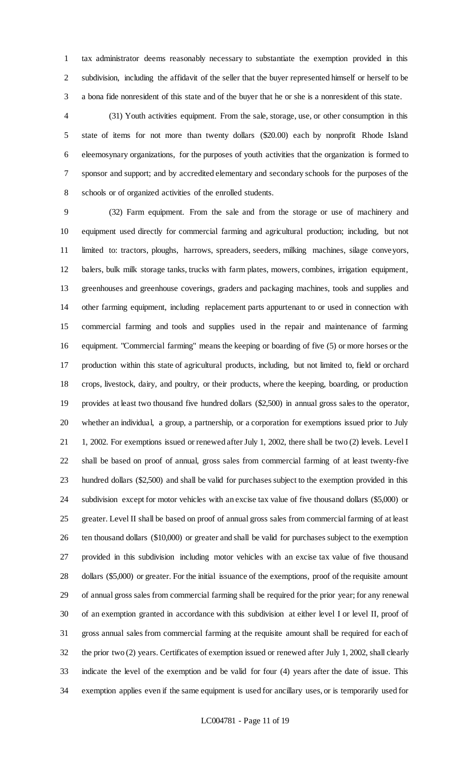tax administrator deems reasonably necessary to substantiate the exemption provided in this subdivision, including the affidavit of the seller that the buyer represented himself or herself to be a bona fide nonresident of this state and of the buyer that he or she is a nonresident of this state.

 (31) Youth activities equipment. From the sale, storage, use, or other consumption in this state of items for not more than twenty dollars (\$20.00) each by nonprofit Rhode Island eleemosynary organizations, for the purposes of youth activities that the organization is formed to sponsor and support; and by accredited elementary and secondary schools for the purposes of the schools or of organized activities of the enrolled students.

 (32) Farm equipment. From the sale and from the storage or use of machinery and equipment used directly for commercial farming and agricultural production; including, but not limited to: tractors, ploughs, harrows, spreaders, seeders, milking machines, silage conveyors, balers, bulk milk storage tanks, trucks with farm plates, mowers, combines, irrigation equipment, greenhouses and greenhouse coverings, graders and packaging machines, tools and supplies and other farming equipment, including replacement parts appurtenant to or used in connection with commercial farming and tools and supplies used in the repair and maintenance of farming equipment. "Commercial farming" means the keeping or boarding of five (5) or more horses or the production within this state of agricultural products, including, but not limited to, field or orchard crops, livestock, dairy, and poultry, or their products, where the keeping, boarding, or production provides at least two thousand five hundred dollars (\$2,500) in annual gross sales to the operator, whether an individual, a group, a partnership, or a corporation for exemptions issued prior to July 21 1, 2002. For exemptions issued or renewed after July 1, 2002, there shall be two (2) levels. Level I shall be based on proof of annual, gross sales from commercial farming of at least twenty-five hundred dollars (\$2,500) and shall be valid for purchases subject to the exemption provided in this subdivision except for motor vehicles with an excise tax value of five thousand dollars (\$5,000) or greater. Level II shall be based on proof of annual gross sales from commercial farming of at least ten thousand dollars (\$10,000) or greater and shall be valid for purchases subject to the exemption provided in this subdivision including motor vehicles with an excise tax value of five thousand dollars (\$5,000) or greater. For the initial issuance of the exemptions, proof of the requisite amount of annual gross sales from commercial farming shall be required for the prior year; for any renewal of an exemption granted in accordance with this subdivision at either level I or level II, proof of gross annual sales from commercial farming at the requisite amount shall be required for each of the prior two (2) years. Certificates of exemption issued or renewed after July 1, 2002, shall clearly indicate the level of the exemption and be valid for four (4) years after the date of issue. This exemption applies even if the same equipment is used for ancillary uses, or is temporarily used for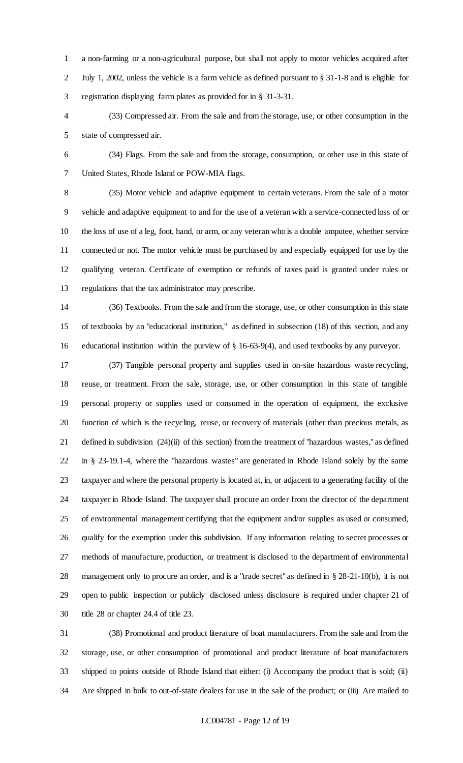a non-farming or a non-agricultural purpose, but shall not apply to motor vehicles acquired after July 1, 2002, unless the vehicle is a farm vehicle as defined pursuant to § 31-1-8 and is eligible for registration displaying farm plates as provided for in § 31-3-31.

 (33) Compressed air. From the sale and from the storage, use, or other consumption in the state of compressed air.

 (34) Flags. From the sale and from the storage, consumption, or other use in this state of United States, Rhode Island or POW-MIA flags.

 (35) Motor vehicle and adaptive equipment to certain veterans. From the sale of a motor vehicle and adaptive equipment to and for the use of a veteran with a service-connected loss of or the loss of use of a leg, foot, hand, or arm, or any veteran who is a double amputee, whether service connected or not. The motor vehicle must be purchased by and especially equipped for use by the qualifying veteran. Certificate of exemption or refunds of taxes paid is granted under rules or regulations that the tax administrator may prescribe.

 (36) Textbooks. From the sale and from the storage, use, or other consumption in this state of textbooks by an "educational institution," as defined in subsection (18) of this section, and any educational institution within the purview of § 16-63-9(4), and used textbooks by any purveyor.

 (37) Tangible personal property and supplies used in on-site hazardous waste recycling, reuse, or treatment. From the sale, storage, use, or other consumption in this state of tangible personal property or supplies used or consumed in the operation of equipment, the exclusive function of which is the recycling, reuse, or recovery of materials (other than precious metals, as defined in subdivision (24)(ii) of this section) from the treatment of "hazardous wastes," as defined in § 23-19.1-4, where the "hazardous wastes" are generated in Rhode Island solely by the same taxpayer and where the personal property is located at, in, or adjacent to a generating facility of the taxpayer in Rhode Island. The taxpayer shall procure an order from the director of the department of environmental management certifying that the equipment and/or supplies as used or consumed, qualify for the exemption under this subdivision. If any information relating to secret processes or methods of manufacture, production, or treatment is disclosed to the department of environmental management only to procure an order, and is a "trade secret" as defined in § 28-21-10(b), it is not open to public inspection or publicly disclosed unless disclosure is required under chapter 21 of title 28 or chapter 24.4 of title 23.

 (38) Promotional and product literature of boat manufacturers. From the sale and from the storage, use, or other consumption of promotional and product literature of boat manufacturers shipped to points outside of Rhode Island that either: (i) Accompany the product that is sold; (ii) Are shipped in bulk to out-of-state dealers for use in the sale of the product; or (iii) Are mailed to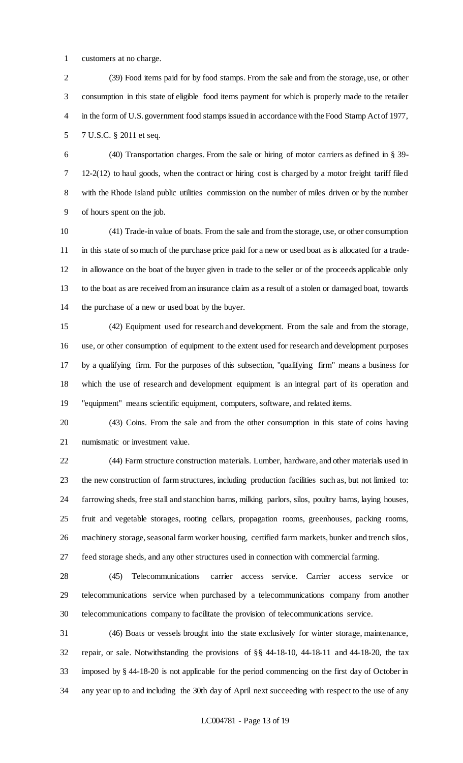customers at no charge.

 (39) Food items paid for by food stamps. From the sale and from the storage, use, or other consumption in this state of eligible food items payment for which is properly made to the retailer in the form of U.S. government food stamps issued in accordance with the Food Stamp Act of 1977, 7 U.S.C. § 2011 et seq.

 (40) Transportation charges. From the sale or hiring of motor carriers as defined in § 39- 12-2(12) to haul goods, when the contract or hiring cost is charged by a motor freight tariff filed with the Rhode Island public utilities commission on the number of miles driven or by the number of hours spent on the job.

 (41) Trade-in value of boats. From the sale and from the storage, use, or other consumption in this state of so much of the purchase price paid for a new or used boat as is allocated for a trade- in allowance on the boat of the buyer given in trade to the seller or of the proceeds applicable only to the boat as are received from an insurance claim as a result of a stolen or damaged boat, towards the purchase of a new or used boat by the buyer.

 (42) Equipment used for research and development. From the sale and from the storage, use, or other consumption of equipment to the extent used for research and development purposes by a qualifying firm. For the purposes of this subsection, "qualifying firm" means a business for which the use of research and development equipment is an integral part of its operation and "equipment" means scientific equipment, computers, software, and related items.

 (43) Coins. From the sale and from the other consumption in this state of coins having numismatic or investment value.

 (44) Farm structure construction materials. Lumber, hardware, and other materials used in the new construction of farm structures, including production facilities such as, but not limited to: farrowing sheds, free stall and stanchion barns, milking parlors, silos, poultry barns, laying houses, fruit and vegetable storages, rooting cellars, propagation rooms, greenhouses, packing rooms, machinery storage, seasonal farm worker housing, certified farm markets, bunker and trench silos, feed storage sheds, and any other structures used in connection with commercial farming.

 (45) Telecommunications carrier access service. Carrier access service or telecommunications service when purchased by a telecommunications company from another telecommunications company to facilitate the provision of telecommunications service.

 (46) Boats or vessels brought into the state exclusively for winter storage, maintenance, repair, or sale. Notwithstanding the provisions of §§ 44-18-10, 44-18-11 and 44-18-20, the tax imposed by § 44-18-20 is not applicable for the period commencing on the first day of October in any year up to and including the 30th day of April next succeeding with respect to the use of any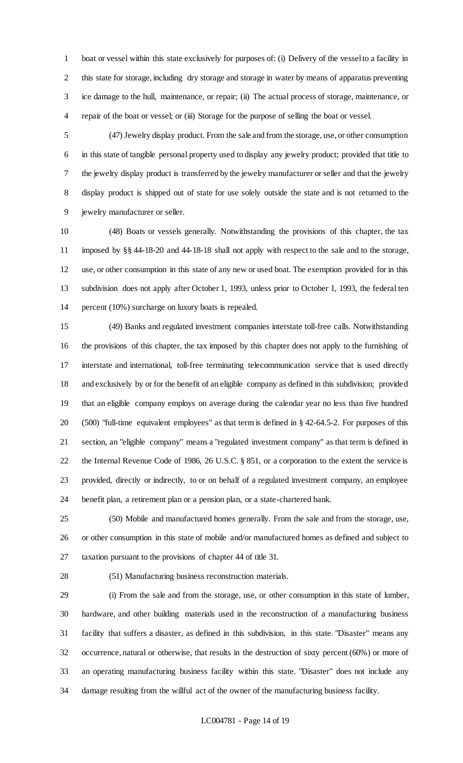boat or vessel within this state exclusively for purposes of: (i) Delivery of the vessel to a facility in this state for storage, including dry storage and storage in water by means of apparatus preventing ice damage to the hull, maintenance, or repair; (ii) The actual process of storage, maintenance, or repair of the boat or vessel; or (iii) Storage for the purpose of selling the boat or vessel.

 (47) Jewelry display product. From the sale and from the storage, use, or other consumption in this state of tangible personal property used to display any jewelry product; provided that title to the jewelry display product is transferred by the jewelry manufacturer or seller and that the jewelry display product is shipped out of state for use solely outside the state and is not returned to the jewelry manufacturer or seller.

 (48) Boats or vessels generally. Notwithstanding the provisions of this chapter, the tax imposed by §§ 44-18-20 and 44-18-18 shall not apply with respect to the sale and to the storage, use, or other consumption in this state of any new or used boat. The exemption provided for in this subdivision does not apply after October 1, 1993, unless prior to October 1, 1993, the federal ten percent (10%) surcharge on luxury boats is repealed.

 (49) Banks and regulated investment companies interstate toll-free calls. Notwithstanding the provisions of this chapter, the tax imposed by this chapter does not apply to the furnishing of interstate and international, toll-free terminating telecommunication service that is used directly and exclusively by or for the benefit of an eligible company as defined in this subdivision; provided that an eligible company employs on average during the calendar year no less than five hundred (500) "full-time equivalent employees" as that term is defined in § 42-64.5-2. For purposes of this section, an "eligible company" means a "regulated investment company" as that term is defined in the Internal Revenue Code of 1986, 26 U.S.C. § 851, or a corporation to the extent the service is provided, directly or indirectly, to or on behalf of a regulated investment company, an employee benefit plan, a retirement plan or a pension plan, or a state-chartered bank.

 (50) Mobile and manufactured homes generally. From the sale and from the storage, use, or other consumption in this state of mobile and/or manufactured homes as defined and subject to taxation pursuant to the provisions of chapter 44 of title 31.

(51) Manufacturing business reconstruction materials.

 (i) From the sale and from the storage, use, or other consumption in this state of lumber, hardware, and other building materials used in the reconstruction of a manufacturing business facility that suffers a disaster, as defined in this subdivision, in this state. "Disaster" means any occurrence, natural or otherwise, that results in the destruction of sixty percent (60%) or more of an operating manufacturing business facility within this state. "Disaster" does not include any damage resulting from the willful act of the owner of the manufacturing business facility.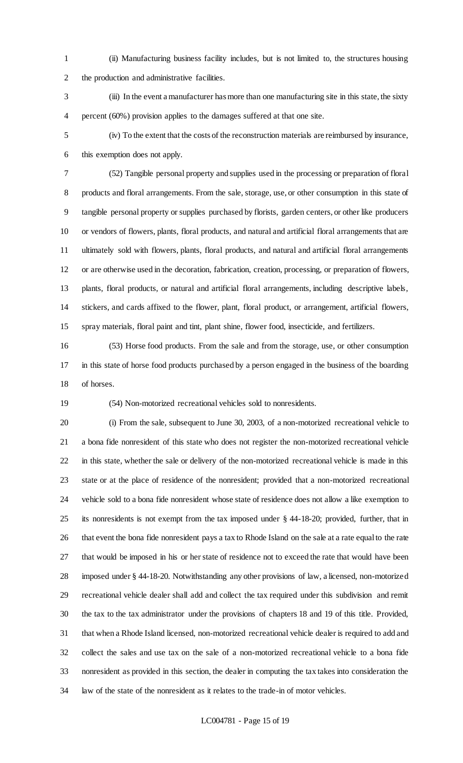(ii) Manufacturing business facility includes, but is not limited to, the structures housing the production and administrative facilities.

 (iii) In the event a manufacturer has more than one manufacturing site in this state, the sixty percent (60%) provision applies to the damages suffered at that one site.

 (iv) To the extent that the costs of the reconstruction materials are reimbursed by insurance, this exemption does not apply.

 (52) Tangible personal property and supplies used in the processing or preparation of floral products and floral arrangements. From the sale, storage, use, or other consumption in this state of tangible personal property or supplies purchased by florists, garden centers, or other like producers or vendors of flowers, plants, floral products, and natural and artificial floral arrangements that are ultimately sold with flowers, plants, floral products, and natural and artificial floral arrangements or are otherwise used in the decoration, fabrication, creation, processing, or preparation of flowers, plants, floral products, or natural and artificial floral arrangements, including descriptive labels, stickers, and cards affixed to the flower, plant, floral product, or arrangement, artificial flowers, spray materials, floral paint and tint, plant shine, flower food, insecticide, and fertilizers.

 (53) Horse food products. From the sale and from the storage, use, or other consumption in this state of horse food products purchased by a person engaged in the business of the boarding of horses.

### (54) Non-motorized recreational vehicles sold to nonresidents.

 (i) From the sale, subsequent to June 30, 2003, of a non-motorized recreational vehicle to a bona fide nonresident of this state who does not register the non-motorized recreational vehicle in this state, whether the sale or delivery of the non-motorized recreational vehicle is made in this state or at the place of residence of the nonresident; provided that a non-motorized recreational vehicle sold to a bona fide nonresident whose state of residence does not allow a like exemption to its nonresidents is not exempt from the tax imposed under § 44-18-20; provided, further, that in that event the bona fide nonresident pays a tax to Rhode Island on the sale at a rate equal to the rate that would be imposed in his or her state of residence not to exceed the rate that would have been imposed under § 44-18-20. Notwithstanding any other provisions of law, a licensed, non-motorized recreational vehicle dealer shall add and collect the tax required under this subdivision and remit the tax to the tax administrator under the provisions of chapters 18 and 19 of this title. Provided, that when a Rhode Island licensed, non-motorized recreational vehicle dealer is required to add and collect the sales and use tax on the sale of a non-motorized recreational vehicle to a bona fide nonresident as provided in this section, the dealer in computing the tax takes into consideration the law of the state of the nonresident as it relates to the trade-in of motor vehicles.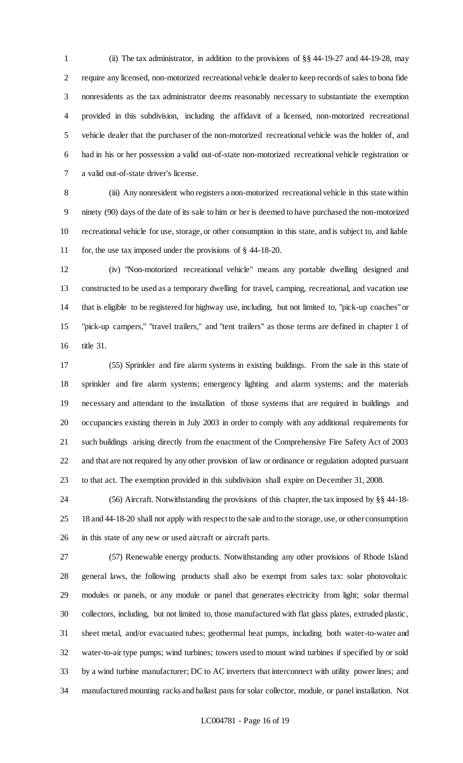(ii) The tax administrator, in addition to the provisions of §§ 44-19-27 and 44-19-28, may require any licensed, non-motorized recreational vehicle dealer to keep records of sales to bona fide nonresidents as the tax administrator deems reasonably necessary to substantiate the exemption provided in this subdivision, including the affidavit of a licensed, non-motorized recreational vehicle dealer that the purchaser of the non-motorized recreational vehicle was the holder of, and had in his or her possession a valid out-of-state non-motorized recreational vehicle registration or a valid out-of-state driver's license.

 (iii) Any nonresident who registers a non-motorized recreational vehicle in this state within ninety (90) days of the date of its sale to him or her is deemed to have purchased the non-motorized recreational vehicle for use, storage, or other consumption in this state, and is subject to, and liable for, the use tax imposed under the provisions of § 44-18-20.

 (iv) "Non-motorized recreational vehicle" means any portable dwelling designed and constructed to be used as a temporary dwelling for travel, camping, recreational, and vacation use that is eligible to be registered for highway use, including, but not limited to, "pick-up coaches" or "pick-up campers," "travel trailers," and "tent trailers" as those terms are defined in chapter 1 of title 31.

 (55) Sprinkler and fire alarm systems in existing buildings. From the sale in this state of sprinkler and fire alarm systems; emergency lighting and alarm systems; and the materials necessary and attendant to the installation of those systems that are required in buildings and occupancies existing therein in July 2003 in order to comply with any additional requirements for such buildings arising directly from the enactment of the Comprehensive Fire Safety Act of 2003 and that are not required by any other provision of law or ordinance or regulation adopted pursuant to that act. The exemption provided in this subdivision shall expire on December 31, 2008.

 (56) Aircraft. Notwithstanding the provisions of this chapter, the tax imposed by §§ 44-18- 18 and 44-18-20 shall not apply with respect to the sale and to the storage, use, or other consumption in this state of any new or used aircraft or aircraft parts.

 (57) Renewable energy products. Notwithstanding any other provisions of Rhode Island general laws, the following products shall also be exempt from sales tax: solar photovoltaic modules or panels, or any module or panel that generates electricity from light; solar thermal collectors, including, but not limited to, those manufactured with flat glass plates, extruded plastic, sheet metal, and/or evacuated tubes; geothermal heat pumps, including both water-to-water and water-to-air type pumps; wind turbines; towers used to mount wind turbines if specified by or sold by a wind turbine manufacturer; DC to AC inverters that interconnect with utility power lines; and manufactured mounting racks and ballast pans for solar collector, module, or panel installation. Not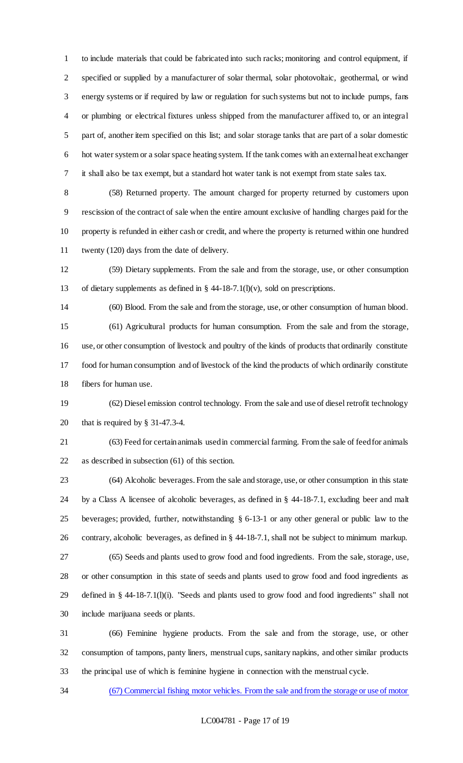to include materials that could be fabricated into such racks; monitoring and control equipment, if specified or supplied by a manufacturer of solar thermal, solar photovoltaic, geothermal, or wind energy systems or if required by law or regulation for such systems but not to include pumps, fans or plumbing or electrical fixtures unless shipped from the manufacturer affixed to, or an integral part of, another item specified on this list; and solar storage tanks that are part of a solar domestic hot water system or a solar space heating system. If the tank comes with an external heat exchanger it shall also be tax exempt, but a standard hot water tank is not exempt from state sales tax.

 (58) Returned property. The amount charged for property returned by customers upon rescission of the contract of sale when the entire amount exclusive of handling charges paid for the property is refunded in either cash or credit, and where the property is returned within one hundred twenty (120) days from the date of delivery.

 (59) Dietary supplements. From the sale and from the storage, use, or other consumption of dietary supplements as defined in § 44-18-7.1(l)(v), sold on prescriptions.

 (60) Blood. From the sale and from the storage, use, or other consumption of human blood. (61) Agricultural products for human consumption. From the sale and from the storage, use, or other consumption of livestock and poultry of the kinds of products that ordinarily constitute food for human consumption and of livestock of the kind the products of which ordinarily constitute fibers for human use.

 (62) Diesel emission control technology. From the sale and use of diesel retrofit technology that is required by § 31-47.3-4.

 (63) Feed for certain animals used in commercial farming. From the sale of feed for animals as described in subsection (61) of this section.

 (64) Alcoholic beverages. From the sale and storage, use, or other consumption in this state by a Class A licensee of alcoholic beverages, as defined in § 44-18-7.1, excluding beer and malt beverages; provided, further, notwithstanding § 6-13-1 or any other general or public law to the contrary, alcoholic beverages, as defined in § 44-18-7.1, shall not be subject to minimum markup. (65) Seeds and plants used to grow food and food ingredients. From the sale, storage, use, or other consumption in this state of seeds and plants used to grow food and food ingredients as defined in § 44-18-7.1(l)(i). "Seeds and plants used to grow food and food ingredients" shall not include marijuana seeds or plants.

 (66) Feminine hygiene products. From the sale and from the storage, use, or other consumption of tampons, panty liners, menstrual cups, sanitary napkins, and other similar products the principal use of which is feminine hygiene in connection with the menstrual cycle.

(67) Commercial fishing motor vehicles. From the sale and from the storage or use of motor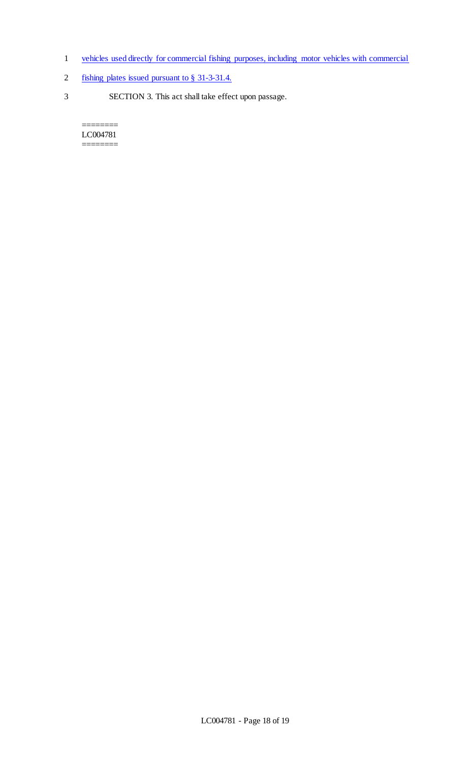- 1 vehicles used directly for commercial fishing purposes, including motor vehicles with commercial
- 2 fishing plates issued pursuant to § 31-3-31.4.
- 3 SECTION 3. This act shall take effect upon passage.

#### ======== LC004781 ========